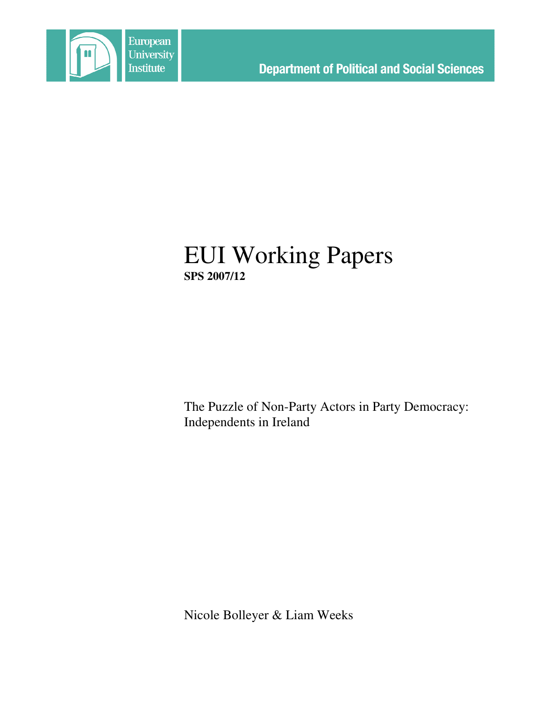

# EUI Working Papers **SPS 2007/12**

The Puzzle of Non-Party Actors in Party Democracy: Independents in Ireland

Nicole Bolleyer & Liam Weeks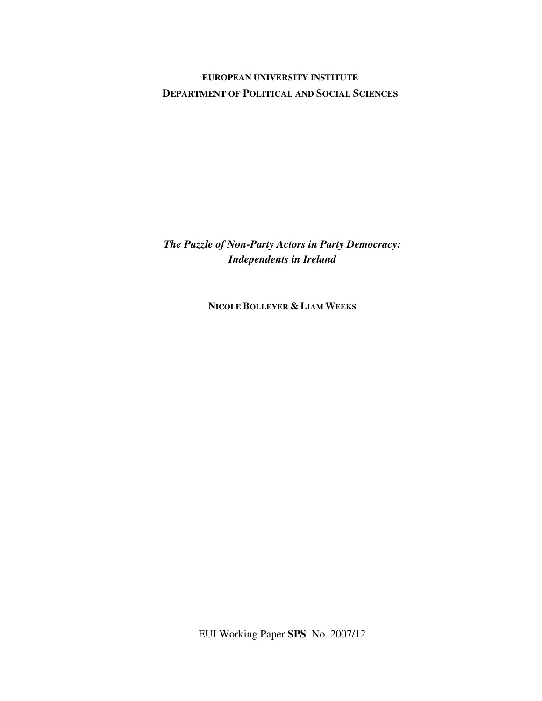# **EUROPEAN UNIVERSITY INSTITUTE DEPARTMENT OF POLITICAL AND SOCIAL SCIENCES**

*The Puzzle of Non-Party Actors in Party Democracy: Independents in Ireland*

**NICOLE BOLLEYER & LIAM WEEKS**

EUI Working Paper **SPS** No. 2007/12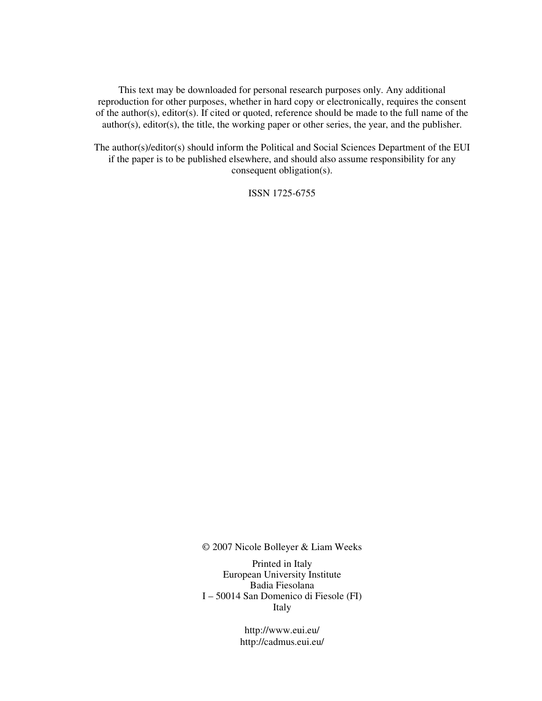This text may be downloaded for personal research purposes only. Any additional reproduction for other purposes, whether in hard copy or electronically, requires the consent of the author(s), editor(s). If cited or quoted, reference should be made to the full name of the author(s), editor(s), the title, the working paper or other series, the year, and the publisher.

The author(s)/editor(s) should inform the Political and Social Sciences Department of the EUI if the paper is to be published elsewhere, and should also assume responsibility for any consequent obligation(s).

ISSN 1725-6755

© 2007 Nicole Bolleyer & Liam Weeks

Printed in Italy European University Institute Badia Fiesolana I – 50014 San Domenico di Fiesole (FI) Italy

> http://www.eui.eu/ http://cadmus.eui.eu/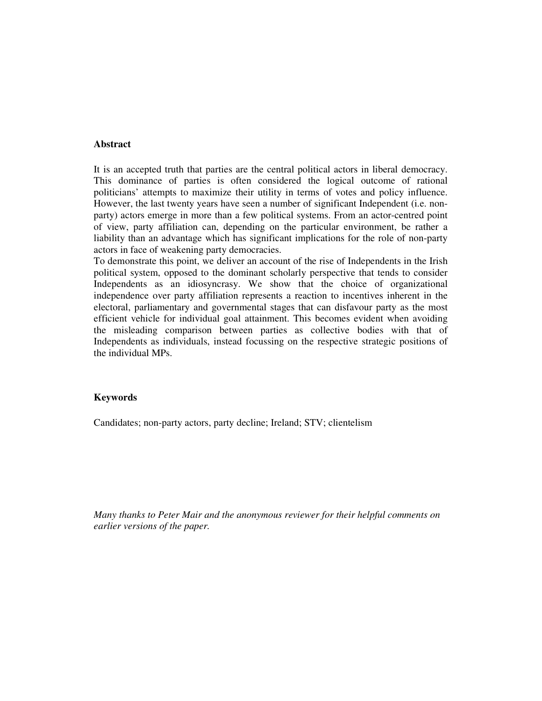### **Abstract**

It is an accepted truth that parties are the central political actors in liberal democracy. This dominance of parties is often considered the logical outcome of rational politicians' attempts to maximize their utility in terms of votes and policy influence. However, the last twenty years have seen a number of significant Independent (i.e. nonparty) actors emerge in more than a few political systems. From an actor-centred point of view, party affiliation can, depending on the particular environment, be rather a liability than an advantage which has significant implications for the role of non-party actors in face of weakening party democracies.

To demonstrate this point, we deliver an account of the rise of Independents in the Irish political system, opposed to the dominant scholarly perspective that tends to consider Independents as an idiosyncrasy. We show that the choice of organizational independence over party affiliation represents a reaction to incentives inherent in the electoral, parliamentary and governmental stages that can disfavour party as the most efficient vehicle for individual goal attainment. This becomes evident when avoiding the misleading comparison between parties as collective bodies with that of Independents as individuals, instead focussing on the respective strategic positions of the individual MPs.

#### **Keywords**

Candidates; non-party actors, party decline; Ireland; STV; clientelism

*Many thanks to Peter Mair and the anonymous reviewer for their helpful comments on earlier versions of the paper.*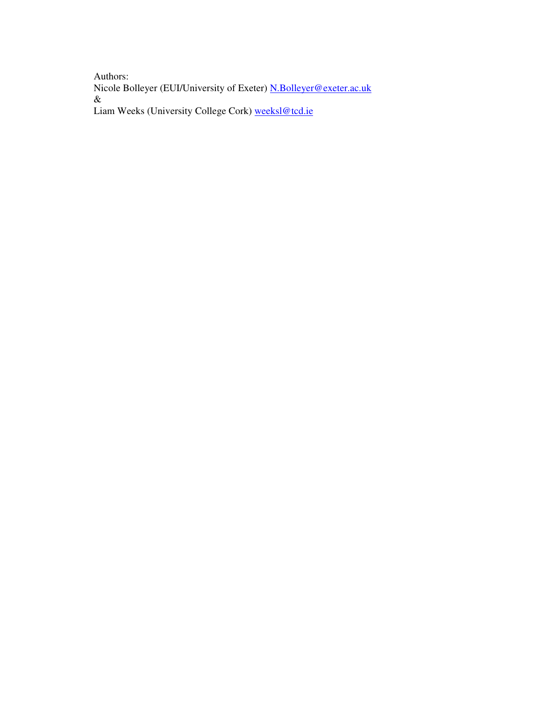Authors: Nicole Bolleyer (EUI/University of Exeter) **N.Bolleyer@exeter.ac.uk** & Liam Weeks (University College Cork) weeksl@tcd.ie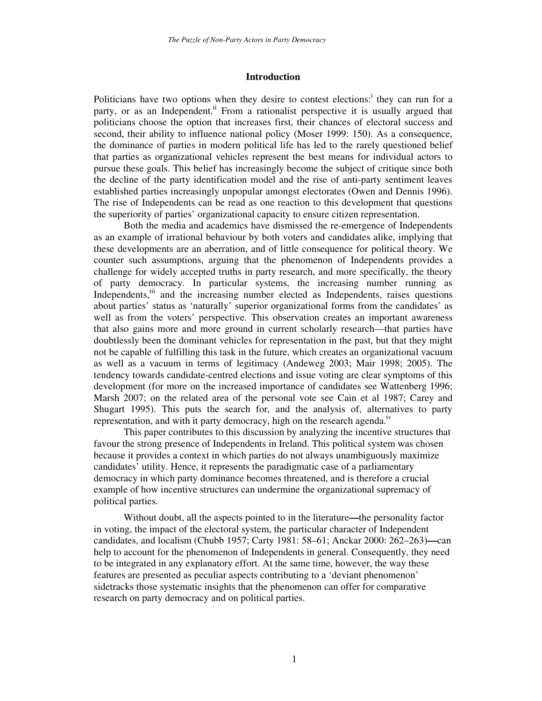#### **Introduction**

Politicians have two options when they desire to contest elections:<sup>i</sup> they can run for a party, or as an Independent.<sup>ii</sup> From a rationalist perspective it is usually argued that politicians choose the option that increases first, their chances of electoral success and second, their ability to influence national policy (Moser 1999: 150). As a consequence, the dominance of parties in modern political life has led to the rarely questioned belief that parties as organizational vehicles represent the best means for individual actors to pursue these goals. This belief has increasingly become the subject of critique since both the decline of the party identification model and the rise of anti-party sentiment leaves established parties increasingly unpopular amongst electorates (Owen and Dennis 1996). The rise of Independents can be read as one reaction to this development that questions the superiority of parties' organizational capacity to ensure citizen representation.

Both the media and academics have dismissed the re-emergence of Independents as an example of irrational behaviour by both voters and candidates alike, implying that these developments are an aberration, and of little consequence for political theory. We counter such assumptions, arguing that the phenomenon of Independents provides a challenge for widely accepted truths in party research, and more specifically, the theory of party democracy. In particular systems, the increasing number running as Independents, iii and the increasing number elected as Independents, raises questions about parties' status as 'naturally' superior organizational forms from the candidates' as well as from the voters' perspective. This observation creates an important awareness that also gains more and more ground in current scholarly research—that parties have doubtlessly been the dominant vehicles for representation in the past, but that they might not be capable of fulfilling this task in the future, which creates an organizational vacuum as well as a vacuum in terms of legitimacy (Andeweg 2003; Mair 1998; 2005). The tendency towards candidate-centred elections and issue voting are clear symptoms of this development (for more on the increased importance of candidates see Wattenberg 1996; Marsh 2007; on the related area of the personal vote see Cain et al 1987; Carey and Shugart 1995). This puts the search for, and the analysis of, alternatives to party representation, and with it party democracy, high on the research agenda.<sup>iv</sup>

This paper contributes to this discussion by analyzing the incentive structures that favour the strong presence of Independents in Ireland. This political system was chosen because it provides a context in which parties do not always unambiguously maximize candidates' utility. Hence, it represents the paradigmatic case of a parliamentary democracy in which party dominance becomes threatened, and is therefore a crucial example of how incentive structures can undermine the organizational supremacy of political parties.

Without doubt, all the aspects pointed to in the literature**—**the personality factor in voting, the impact of the electoral system, the particular character of Independent candidates, and localism (Chubb 1957; Carty 1981: 58–61; Anckar 2000: 262–263)**—**can help to account for the phenomenon of Independents in general. Consequently, they need to be integrated in any explanatory effort. At the same time, however, the way these features are presented as peculiar aspects contributing to a 'deviant phenomenon' sidetracks those systematic insights that the phenomenon can offer for comparative research on party democracy and on political parties.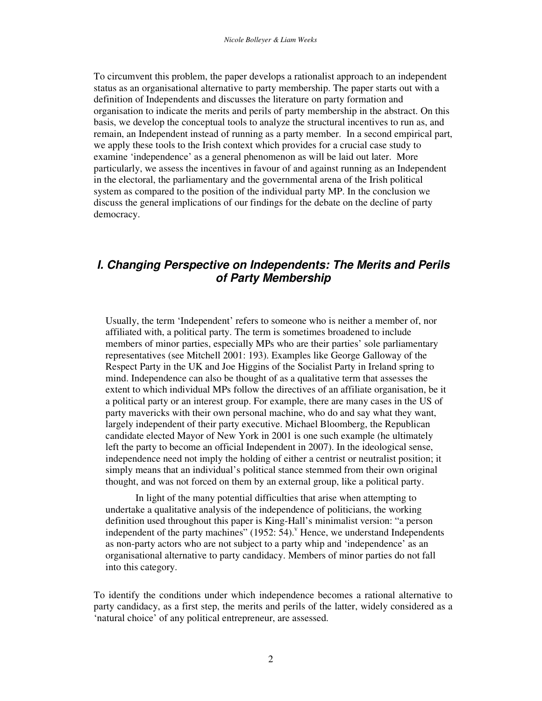To circumvent this problem, the paper develops a rationalist approach to an independent status as an organisational alternative to party membership. The paper starts out with a definition of Independents and discusses the literature on party formation and organisation to indicate the merits and perils of party membership in the abstract. On this basis, we develop the conceptual tools to analyze the structural incentives to run as, and remain, an Independent instead of running as a party member. In a second empirical part, we apply these tools to the Irish context which provides for a crucial case study to examine 'independence' as a general phenomenon as will be laid out later. More particularly, we assess the incentives in favour of and against running as an Independent in the electoral, the parliamentary and the governmental arena of the Irish political system as compared to the position of the individual party MP. In the conclusion we discuss the general implications of our findings for the debate on the decline of party democracy.

# *I. Changing Perspective on Independents: The Merits and Perils of Party Membership*

Usually, the term 'Independent' refers to someone who is neither a member of, nor affiliated with, a political party. The term is sometimes broadened to include members of minor parties, especially MPs who are their parties' sole parliamentary representatives (see Mitchell 2001: 193). Examples like George Galloway of the Respect Party in the UK and Joe Higgins of the Socialist Party in Ireland spring to mind. Independence can also be thought of as a qualitative term that assesses the extent to which individual MPs follow the directives of an affiliate organisation, be it a political party or an interest group. For example, there are many cases in the US of party mavericks with their own personal machine, who do and say what they want, largely independent of their party executive. Michael Bloomberg, the Republican candidate elected Mayor of New York in 2001 is one such example (he ultimately left the party to become an official Independent in 2007). In the ideological sense, independence need not imply the holding of either a centrist or neutralist position; it simply means that an individual's political stance stemmed from their own original thought, and was not forced on them by an external group, like a political party.

In light of the many potential difficulties that arise when attempting to undertake a qualitative analysis of the independence of politicians, the working definition used throughout this paper is King-Hall's minimalist version: "a person independent of the party machines" (1952: 54). Hence, we understand Independents as non-party actors who are not subject to a party whip and 'independence' as an organisational alternative to party candidacy. Members of minor parties do not fall into this category.

To identify the conditions under which independence becomes a rational alternative to party candidacy, as a first step, the merits and perils of the latter, widely considered as a 'natural choice' of any political entrepreneur, are assessed.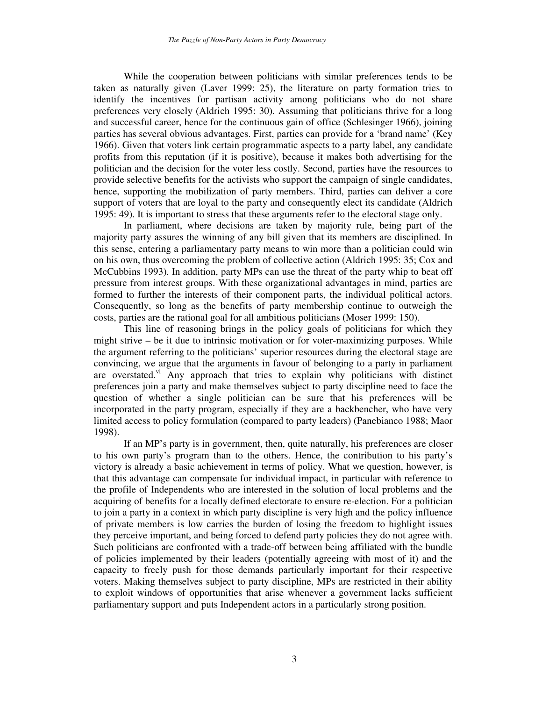While the cooperation between politicians with similar preferences tends to be taken as naturally given (Laver 1999: 25), the literature on party formation tries to identify the incentives for partisan activity among politicians who do not share preferences very closely (Aldrich 1995: 30). Assuming that politicians thrive for a long and successful career, hence for the continuous gain of office (Schlesinger 1966), joining parties has several obvious advantages. First, parties can provide for a 'brand name' (Key 1966). Given that voters link certain programmatic aspects to a party label, any candidate profits from this reputation (if it is positive), because it makes both advertising for the politician and the decision for the voter less costly. Second, parties have the resources to provide selective benefits for the activists who support the campaign of single candidates, hence, supporting the mobilization of party members. Third, parties can deliver a core support of voters that are loyal to the party and consequently elect its candidate (Aldrich 1995: 49). It is important to stress that these arguments refer to the electoral stage only.

In parliament, where decisions are taken by majority rule, being part of the majority party assures the winning of any bill given that its members are disciplined. In this sense, entering a parliamentary party means to win more than a politician could win on his own, thus overcoming the problem of collective action (Aldrich 1995: 35; Cox and McCubbins 1993). In addition, party MPs can use the threat of the party whip to beat off pressure from interest groups. With these organizational advantages in mind, parties are formed to further the interests of their component parts, the individual political actors. Consequently, so long as the benefits of party membership continue to outweigh the costs, parties are the rational goal for all ambitious politicians (Moser 1999: 150).

This line of reasoning brings in the policy goals of politicians for which they might strive – be it due to intrinsic motivation or for voter-maximizing purposes. While the argument referring to the politicians' superior resources during the electoral stage are convincing, we argue that the arguments in favour of belonging to a party in parliament are overstated.<sup>vi</sup> Any approach that tries to explain why politicians with distinct preferences join a party and make themselves subject to party discipline need to face the question of whether a single politician can be sure that his preferences will be incorporated in the party program, especially if they are a backbencher, who have very limited access to policy formulation (compared to party leaders) (Panebianco 1988; Maor 1998).

If an MP's party is in government, then, quite naturally, his preferences are closer to his own party's program than to the others. Hence, the contribution to his party's victory is already a basic achievement in terms of policy. What we question, however, is that this advantage can compensate for individual impact, in particular with reference to the profile of Independents who are interested in the solution of local problems and the acquiring of benefits for a locally defined electorate to ensure re-election. For a politician to join a party in a context in which party discipline is very high and the policy influence of private members is low carries the burden of losing the freedom to highlight issues they perceive important, and being forced to defend party policies they do not agree with. Such politicians are confronted with a trade-off between being affiliated with the bundle of policies implemented by their leaders (potentially agreeing with most of it) and the capacity to freely push for those demands particularly important for their respective voters. Making themselves subject to party discipline, MPs are restricted in their ability to exploit windows of opportunities that arise whenever a government lacks sufficient parliamentary support and puts Independent actors in a particularly strong position.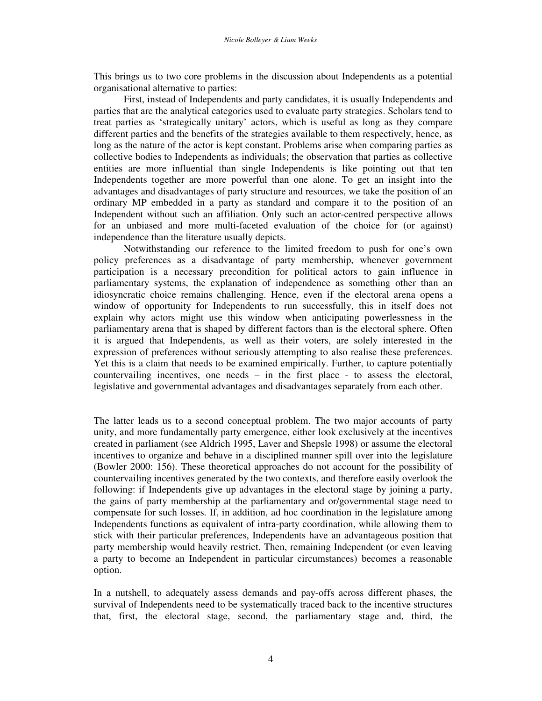This brings us to two core problems in the discussion about Independents as a potential organisational alternative to parties:

First, instead of Independents and party candidates, it is usually Independents and parties that are the analytical categories used to evaluate party strategies. Scholars tend to treat parties as 'strategically unitary' actors, which is useful as long as they compare different parties and the benefits of the strategies available to them respectively, hence, as long as the nature of the actor is kept constant. Problems arise when comparing parties as collective bodies to Independents as individuals; the observation that parties as collective entities are more influential than single Independents is like pointing out that ten Independents together are more powerful than one alone. To get an insight into the advantages and disadvantages of party structure and resources, we take the position of an ordinary MP embedded in a party as standard and compare it to the position of an Independent without such an affiliation. Only such an actor-centred perspective allows for an unbiased and more multi-faceted evaluation of the choice for (or against) independence than the literature usually depicts.

Notwithstanding our reference to the limited freedom to push for one's own policy preferences as a disadvantage of party membership, whenever government participation is a necessary precondition for political actors to gain influence in parliamentary systems, the explanation of independence as something other than an idiosyncratic choice remains challenging. Hence, even if the electoral arena opens a window of opportunity for Independents to run successfully, this in itself does not explain why actors might use this window when anticipating powerlessness in the parliamentary arena that is shaped by different factors than is the electoral sphere. Often it is argued that Independents, as well as their voters, are solely interested in the expression of preferences without seriously attempting to also realise these preferences. Yet this is a claim that needs to be examined empirically. Further, to capture potentially countervailing incentives, one needs – in the first place - to assess the electoral, legislative and governmental advantages and disadvantages separately from each other.

The latter leads us to a second conceptual problem. The two major accounts of party unity, and more fundamentally party emergence, either look exclusively at the incentives created in parliament (see Aldrich 1995, Laver and Shepsle 1998) or assume the electoral incentives to organize and behave in a disciplined manner spill over into the legislature (Bowler 2000: 156). These theoretical approaches do not account for the possibility of countervailing incentives generated by the two contexts, and therefore easily overlook the following: if Independents give up advantages in the electoral stage by joining a party, the gains of party membership at the parliamentary and or/governmental stage need to compensate for such losses. If, in addition, ad hoc coordination in the legislature among Independents functions as equivalent of intra-party coordination, while allowing them to stick with their particular preferences, Independents have an advantageous position that party membership would heavily restrict. Then, remaining Independent (or even leaving a party to become an Independent in particular circumstances) becomes a reasonable option.

In a nutshell, to adequately assess demands and pay-offs across different phases, the survival of Independents need to be systematically traced back to the incentive structures that, first, the electoral stage, second, the parliamentary stage and, third, the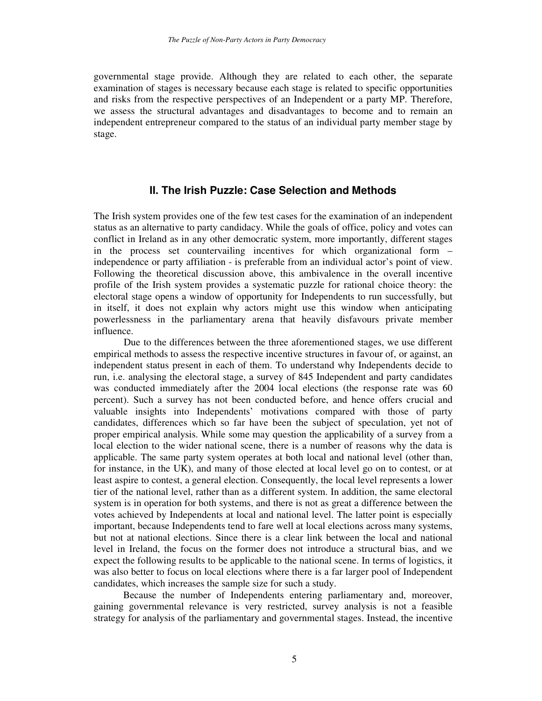governmental stage provide. Although they are related to each other, the separate examination of stages is necessary because each stage is related to specific opportunities and risks from the respective perspectives of an Independent or a party MP. Therefore, we assess the structural advantages and disadvantages to become and to remain an independent entrepreneur compared to the status of an individual party member stage by stage.

# **II. The Irish Puzzle: Case Selection and Methods**

The Irish system provides one of the few test cases for the examination of an independent status as an alternative to party candidacy. While the goals of office, policy and votes can conflict in Ireland as in any other democratic system, more importantly, different stages in the process set countervailing incentives for which organizational form – independence or party affiliation - is preferable from an individual actor's point of view. Following the theoretical discussion above, this ambivalence in the overall incentive profile of the Irish system provides a systematic puzzle for rational choice theory: the electoral stage opens a window of opportunity for Independents to run successfully, but in itself, it does not explain why actors might use this window when anticipating powerlessness in the parliamentary arena that heavily disfavours private member influence.

Due to the differences between the three aforementioned stages, we use different empirical methods to assess the respective incentive structures in favour of, or against, an independent status present in each of them. To understand why Independents decide to run, i.e. analysing the electoral stage, a survey of 845 Independent and party candidates was conducted immediately after the 2004 local elections (the response rate was 60 percent). Such a survey has not been conducted before, and hence offers crucial and valuable insights into Independents' motivations compared with those of party candidates, differences which so far have been the subject of speculation, yet not of proper empirical analysis. While some may question the applicability of a survey from a local election to the wider national scene, there is a number of reasons why the data is applicable. The same party system operates at both local and national level (other than, for instance, in the UK), and many of those elected at local level go on to contest, or at least aspire to contest, a general election. Consequently, the local level represents a lower tier of the national level, rather than as a different system. In addition, the same electoral system is in operation for both systems, and there is not as great a difference between the votes achieved by Independents at local and national level. The latter point is especially important, because Independents tend to fare well at local elections across many systems, but not at national elections. Since there is a clear link between the local and national level in Ireland, the focus on the former does not introduce a structural bias, and we expect the following results to be applicable to the national scene. In terms of logistics, it was also better to focus on local elections where there is a far larger pool of Independent candidates, which increases the sample size for such a study.

Because the number of Independents entering parliamentary and, moreover, gaining governmental relevance is very restricted, survey analysis is not a feasible strategy for analysis of the parliamentary and governmental stages. Instead, the incentive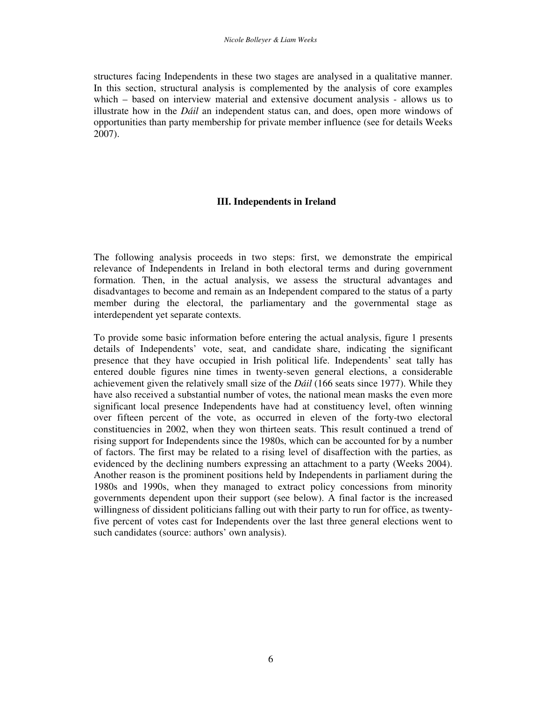structures facing Independents in these two stages are analysed in a qualitative manner. In this section, structural analysis is complemented by the analysis of core examples which – based on interview material and extensive document analysis - allows us to illustrate how in the *Dáil* an independent status can, and does, open more windows of opportunities than party membership for private member influence (see for details Weeks 2007).

## **III. Independents in Ireland**

The following analysis proceeds in two steps: first, we demonstrate the empirical relevance of Independents in Ireland in both electoral terms and during government formation. Then, in the actual analysis, we assess the structural advantages and disadvantages to become and remain as an Independent compared to the status of a party member during the electoral, the parliamentary and the governmental stage as interdependent yet separate contexts.

To provide some basic information before entering the actual analysis, figure 1 presents details of Independents' vote, seat, and candidate share, indicating the significant presence that they have occupied in Irish political life. Independents' seat tally has entered double figures nine times in twenty-seven general elections, a considerable achievement given the relatively small size of the *Dáil* (166 seats since 1977). While they have also received a substantial number of votes, the national mean masks the even more significant local presence Independents have had at constituency level, often winning over fifteen percent of the vote, as occurred in eleven of the forty-two electoral constituencies in 2002, when they won thirteen seats. This result continued a trend of rising support for Independents since the 1980s, which can be accounted for by a number of factors. The first may be related to a rising level of disaffection with the parties, as evidenced by the declining numbers expressing an attachment to a party (Weeks 2004). Another reason is the prominent positions held by Independents in parliament during the 1980s and 1990s, when they managed to extract policy concessions from minority governments dependent upon their support (see below). A final factor is the increased willingness of dissident politicians falling out with their party to run for office, as twentyfive percent of votes cast for Independents over the last three general elections went to such candidates (source: authors' own analysis).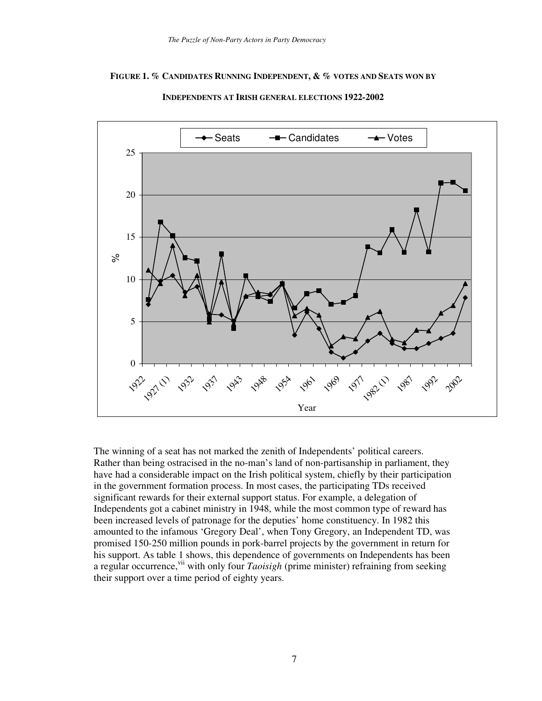## **FIGURE 1. % CANDIDATES RUNNING INDEPENDENT, & % VOTES AND SEATS WON BY**



**INDEPENDENTS AT IRISH GENERAL ELECTIONS 1922-2002**

The winning of a seat has not marked the zenith of Independents' political careers. Rather than being ostracised in the no-man's land of non-partisanship in parliament, they have had a considerable impact on the Irish political system, chiefly by their participation in the government formation process. In most cases, the participating TDs received significant rewards for their external support status. For example, a delegation of Independents got a cabinet ministry in 1948, while the most common type of reward has been increased levels of patronage for the deputies' home constituency. In 1982 this amounted to the infamous 'Gregory Deal', when Tony Gregory, an Independent TD, was promised 150-250 million pounds in pork-barrel projects by the government in return for his support. As table 1 shows, this dependence of governments on Independents has been a regular occurrence, v<sup>ii</sup> with only four *Taoisigh* (prime minister) refraining from seeking their support over a time period of eighty years.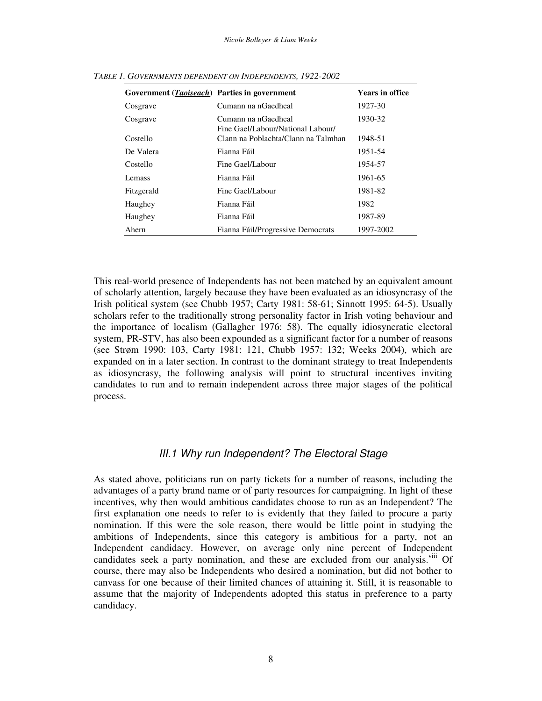| Government ( <i>Taoiseach</i> ) Parties in government |                                                          | <b>Years in office</b> |
|-------------------------------------------------------|----------------------------------------------------------|------------------------|
| Cosgrave                                              | Cumann na nGaedheal                                      | 1927-30                |
| Cosgrave                                              | Cumann na nGaedheal<br>Fine Gael/Labour/National Labour/ | 1930-32                |
| Costello                                              | Clann na Poblachta/Clann na Talmhan                      | 1948-51                |
| De Valera                                             | Fianna Fáil                                              | 1951-54                |
| Costello                                              | Fine Gael/Labour                                         | 1954-57                |
| Lemass                                                | Fianna Fáil                                              | 1961-65                |
| Fitzgerald                                            | Fine Gael/Labour                                         | 1981-82                |
| Haughey                                               | Fianna Fáil                                              | 1982                   |
| Haughey                                               | Fianna Fáil                                              | 1987-89                |
| Ahern                                                 | Fianna Fáil/Progressive Democrats                        | 1997-2002              |

*TABLE 1. GOVERNMENTS DEPENDENT ON INDEPENDENTS, 1922-2002*

This real-world presence of Independents has not been matched by an equivalent amount of scholarly attention, largely because they have been evaluated as an idiosyncrasy of the Irish political system (see Chubb 1957; Carty 1981: 58-61; Sinnott 1995: 64-5). Usually scholars refer to the traditionally strong personality factor in Irish voting behaviour and the importance of localism (Gallagher 1976: 58). The equally idiosyncratic electoral system, PR-STV, has also been expounded as a significant factor for a number of reasons (see Strøm 1990: 103, Carty 1981: 121, Chubb 1957: 132; Weeks 2004), which are expanded on in a later section. In contrast to the dominant strategy to treat Independents as idiosyncrasy, the following analysis will point to structural incentives inviting candidates to run and to remain independent across three major stages of the political process.

## *III.1 Why run Independent? The Electoral Stage*

As stated above, politicians run on party tickets for a number of reasons, including the advantages of a party brand name or of party resources for campaigning. In light of these incentives, why then would ambitious candidates choose to run as an Independent? The first explanation one needs to refer to is evidently that they failed to procure a party nomination. If this were the sole reason, there would be little point in studying the ambitions of Independents, since this category is ambitious for a party, not an Independent candidacy. However, on average only nine percent of Independent candidates seek a party nomination, and these are excluded from our analysis.<sup>viii</sup> Of course, there may also be Independents who desired a nomination, but did not bother to canvass for one because of their limited chances of attaining it. Still, it is reasonable to assume that the majority of Independents adopted this status in preference to a party candidacy.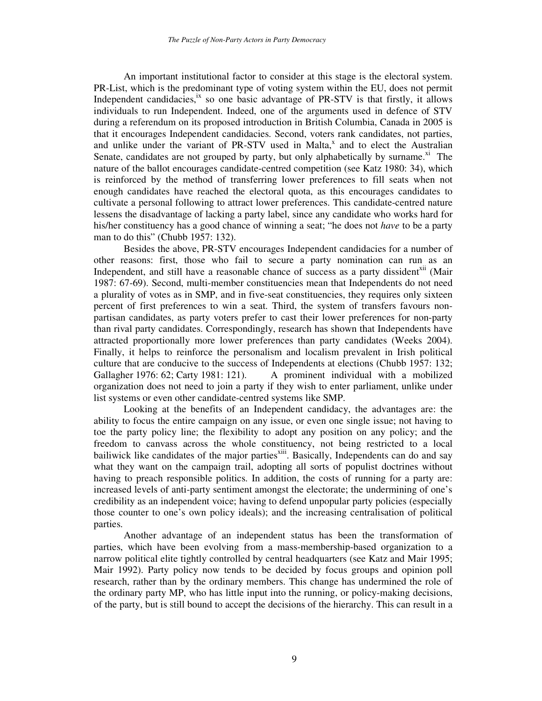An important institutional factor to consider at this stage is the electoral system. PR-List, which is the predominant type of voting system within the EU, does not permit Independent candidacies,<sup>ix</sup> so one basic advantage of PR-STV is that firstly, it allows individuals to run Independent. Indeed, one of the arguments used in defence of STV during a referendum on its proposed introduction in British Columbia, Canada in 2005 is that it encourages Independent candidacies. Second, voters rank candidates, not parties, and unlike under the variant of PR-STV used in Malta,<sup>x</sup> and to elect the Australian Senate, candidates are not grouped by party, but only alphabetically by surname.<sup>xi</sup> The nature of the ballot encourages candidate-centred competition (see Katz 1980: 34), which is reinforced by the method of transferring lower preferences to fill seats when not enough candidates have reached the electoral quota, as this encourages candidates to cultivate a personal following to attract lower preferences. This candidate-centred nature lessens the disadvantage of lacking a party label, since any candidate who works hard for his/her constituency has a good chance of winning a seat; "he does not *have* to be a party man to do this" (Chubb 1957: 132).

Besides the above, PR-STV encourages Independent candidacies for a number of other reasons: first, those who fail to secure a party nomination can run as an Independent, and still have a reasonable chance of success as a party dissident<sup>xii</sup> (Mair 1987: 67-69). Second, multi-member constituencies mean that Independents do not need a plurality of votes as in SMP, and in five-seat constituencies, they requires only sixteen percent of first preferences to win a seat. Third, the system of transfers favours nonpartisan candidates, as party voters prefer to cast their lower preferences for non-party than rival party candidates. Correspondingly, research has shown that Independents have attracted proportionally more lower preferences than party candidates (Weeks 2004). Finally, it helps to reinforce the personalism and localism prevalent in Irish political culture that are conducive to the success of Independents at elections (Chubb 1957: 132; Gallagher 1976: 62; Carty 1981: 121). A prominent individual with a mobilized organization does not need to join a party if they wish to enter parliament, unlike under list systems or even other candidate-centred systems like SMP.

Looking at the benefits of an Independent candidacy, the advantages are: the ability to focus the entire campaign on any issue, or even one single issue; not having to toe the party policy line; the flexibility to adopt any position on any policy; and the freedom to canvass across the whole constituency, not being restricted to a local bailiwick like candidates of the major parties<sup>xiii</sup>. Basically, Independents can do and say what they want on the campaign trail, adopting all sorts of populist doctrines without having to preach responsible politics. In addition, the costs of running for a party are: increased levels of anti-party sentiment amongst the electorate; the undermining of one's credibility as an independent voice; having to defend unpopular party policies (especially those counter to one's own policy ideals); and the increasing centralisation of political parties.

Another advantage of an independent status has been the transformation of parties, which have been evolving from a mass-membership-based organization to a narrow political elite tightly controlled by central headquarters (see Katz and Mair 1995; Mair 1992). Party policy now tends to be decided by focus groups and opinion poll research, rather than by the ordinary members. This change has undermined the role of the ordinary party MP, who has little input into the running, or policy-making decisions, of the party, but is still bound to accept the decisions of the hierarchy. This can result in a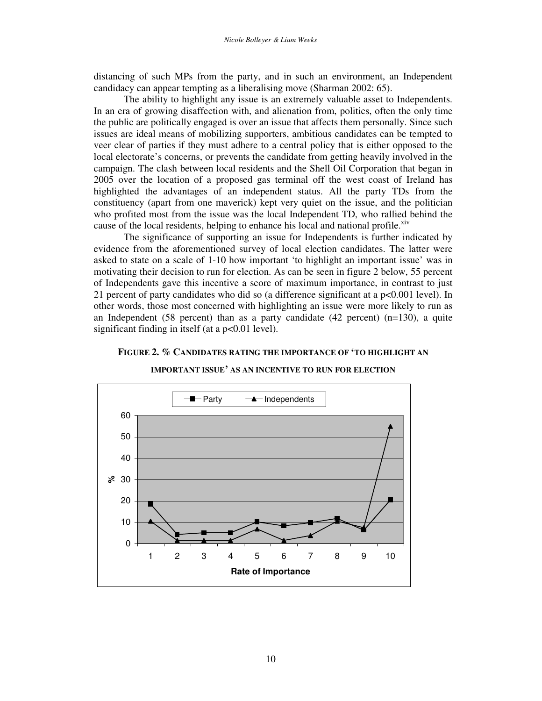distancing of such MPs from the party, and in such an environment, an Independent candidacy can appear tempting as a liberalising move (Sharman 2002: 65).

The ability to highlight any issue is an extremely valuable asset to Independents. In an era of growing disaffection with, and alienation from, politics, often the only time the public are politically engaged is over an issue that affects them personally. Since such issues are ideal means of mobilizing supporters, ambitious candidates can be tempted to veer clear of parties if they must adhere to a central policy that is either opposed to the local electorate's concerns, or prevents the candidate from getting heavily involved in the campaign. The clash between local residents and the Shell Oil Corporation that began in 2005 over the location of a proposed gas terminal off the west coast of Ireland has highlighted the advantages of an independent status. All the party TDs from the constituency (apart from one maverick) kept very quiet on the issue, and the politician who profited most from the issue was the local Independent TD, who rallied behind the cause of the local residents, helping to enhance his local and national profile. Xiv

The significance of supporting an issue for Independents is further indicated by evidence from the aforementioned survey of local election candidates. The latter were asked to state on a scale of 1-10 how important 'to highlight an important issue' was in motivating their decision to run for election. As can be seen in figure 2 below, 55 percent of Independents gave this incentive a score of maximum importance, in contrast to just 21 percent of party candidates who did so (a difference significant at a  $p<0.001$  level). In other words, those most concerned with highlighting an issue were more likely to run as an Independent (58 percent) than as a party candidate (42 percent)  $(n=130)$ , a quite significant finding in itself (at a p<0.01 level).

#### **FIGURE 2. % CANDIDATES RATING THE IMPORTANCE OF 'TO HIGHLIGHT AN**

**IMPORTANT ISSUE' AS AN INCENTIVE TO RUN FOR ELECTION**

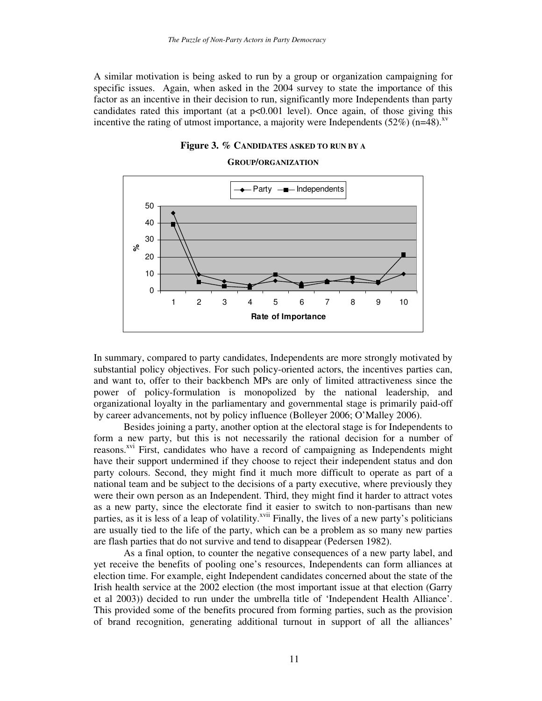A similar motivation is being asked to run by a group or organization campaigning for specific issues. Again, when asked in the 2004 survey to state the importance of this factor as an incentive in their decision to run, significantly more Independents than party candidates rated this important (at a  $p<0.001$  level). Once again, of those giving this incentive the rating of utmost importance, a majority were Independents  $(52\%)$  (n=48).<sup>xv</sup>



#### **GROUP/ORGANIZATION**



In summary, compared to party candidates, Independents are more strongly motivated by substantial policy objectives. For such policy-oriented actors, the incentives parties can, and want to, offer to their backbench MPs are only of limited attractiveness since the power of policy-formulation is monopolized by the national leadership, and organizational loyalty in the parliamentary and governmental stage is primarily paid-off by career advancements, not by policy influence (Bolleyer 2006; O'Malley 2006).

Besides joining a party, another option at the electoral stage is for Independents to form a new party, but this is not necessarily the rational decision for a number of reasons.<sup>xvi</sup> First, candidates who have a record of campaigning as Independents might have their support undermined if they choose to reject their independent status and don party colours. Second, they might find it much more difficult to operate as part of a national team and be subject to the decisions of a party executive, where previously they were their own person as an Independent. Third, they might find it harder to attract votes as a new party, since the electorate find it easier to switch to non-partisans than new parties, as it is less of a leap of volatility.<sup>xvii</sup> Finally, the lives of a new party's politicians are usually tied to the life of the party, which can be a problem as so many new parties are flash parties that do not survive and tend to disappear (Pedersen 1982).

As a final option, to counter the negative consequences of a new party label, and yet receive the benefits of pooling one's resources, Independents can form alliances at election time. For example, eight Independent candidates concerned about the state of the Irish health service at the 2002 election (the most important issue at that election (Garry et al 2003)) decided to run under the umbrella title of 'Independent Health Alliance'. This provided some of the benefits procured from forming parties, such as the provision of brand recognition, generating additional turnout in support of all the alliances'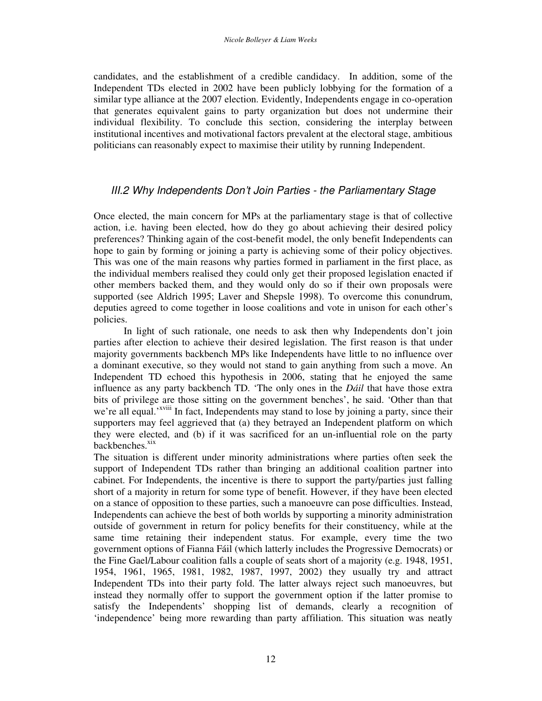candidates, and the establishment of a credible candidacy. In addition, some of the Independent TDs elected in 2002 have been publicly lobbying for the formation of a similar type alliance at the 2007 election. Evidently, Independents engage in co-operation that generates equivalent gains to party organization but does not undermine their individual flexibility. To conclude this section, considering the interplay between institutional incentives and motivational factors prevalent at the electoral stage, ambitious politicians can reasonably expect to maximise their utility by running Independent.

# *III.2 Why Independents Don't Join Parties - the Parliamentary Stage*

Once elected, the main concern for MPs at the parliamentary stage is that of collective action, i.e. having been elected, how do they go about achieving their desired policy preferences? Thinking again of the cost-benefit model, the only benefit Independents can hope to gain by forming or joining a party is achieving some of their policy objectives. This was one of the main reasons why parties formed in parliament in the first place, as the individual members realised they could only get their proposed legislation enacted if other members backed them, and they would only do so if their own proposals were supported (see Aldrich 1995; Laver and Shepsle 1998). To overcome this conundrum, deputies agreed to come together in loose coalitions and vote in unison for each other's policies.

In light of such rationale, one needs to ask then why Independents don't join parties after election to achieve their desired legislation. The first reason is that under majority governments backbench MPs like Independents have little to no influence over a dominant executive, so they would not stand to gain anything from such a move. An Independent TD echoed this hypothesis in 2006, stating that he enjoyed the same influence as any party backbench TD. 'The only ones in the *Dáil* that have those extra bits of privilege are those sitting on the government benches', he said. 'Other than that we're all equal.'<sup>xviii</sup> In fact, Independents may stand to lose by joining a party, since their supporters may feel aggrieved that (a) they betrayed an Independent platform on which they were elected, and (b) if it was sacrificed for an un-influential role on the party backbenches.<sup>xix</sup>

The situation is different under minority administrations where parties often seek the support of Independent TDs rather than bringing an additional coalition partner into cabinet. For Independents, the incentive is there to support the party/parties just falling short of a majority in return for some type of benefit. However, if they have been elected on a stance of opposition to these parties, such a manoeuvre can pose difficulties. Instead, Independents can achieve the best of both worlds by supporting a minority administration outside of government in return for policy benefits for their constituency, while at the same time retaining their independent status. For example, every time the two government options of Fianna Fáil (which latterly includes the Progressive Democrats) or the Fine Gael/Labour coalition falls a couple of seats short of a majority (e.g. 1948, 1951, 1954, 1961, 1965, 1981, 1982, 1987, 1997, 2002) they usually try and attract Independent TDs into their party fold. The latter always reject such manoeuvres, but instead they normally offer to support the government option if the latter promise to satisfy the Independents' shopping list of demands, clearly a recognition of 'independence' being more rewarding than party affiliation. This situation was neatly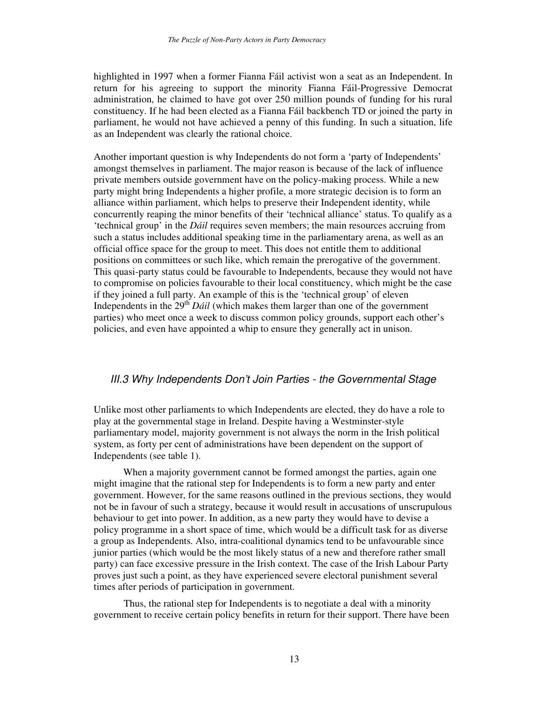highlighted in 1997 when a former Fianna Fáil activist won a seat as an Independent. In return for his agreeing to support the minority Fianna Fáil-Progressive Democrat administration, he claimed to have got over 250 million pounds of funding for his rural constituency. If he had been elected as a Fianna Fáil backbench TD or joined the party in parliament, he would not have achieved a penny of this funding. In such a situation, life as an Independent was clearly the rational choice.

Another important question is why Independents do not form a 'party of Independents' amongst themselves in parliament. The major reason is because of the lack of influence private members outside government have on the policy-making process. While a new party might bring Independents a higher profile, a more strategic decision is to form an alliance within parliament, which helps to preserve their Independent identity, while concurrently reaping the minor benefits of their 'technical alliance' status. To qualify as a 'technical group' in the *Dáil* requires seven members; the main resources accruing from such a status includes additional speaking time in the parliamentary arena, as well as an official office space for the group to meet. This does not entitle them to additional positions on committees or such like, which remain the prerogative of the government. This quasi-party status could be favourable to Independents, because they would not have to compromise on policies favourable to their local constituency, which might be the case if they joined a full party. An example of this is the 'technical group' of eleven Independents in the 29<sup>th</sup> *Dáil* (which makes them larger than one of the government parties) who meet once a week to discuss common policy grounds, support each other's policies, and even have appointed a whip to ensure they generally act in unison.

# *III.3 Why Independents Don't Join Parties - the Governmental Stage*

Unlike most other parliaments to which Independents are elected, they do have a role to play at the governmental stage in Ireland. Despite having a Westminster-style parliamentary model, majority government is not always the norm in the Irish political system, as forty per cent of administrations have been dependent on the support of Independents (see table 1).

When a majority government cannot be formed amongst the parties, again one might imagine that the rational step for Independents is to form a new party and enter government. However, for the same reasons outlined in the previous sections, they would not be in favour of such a strategy, because it would result in accusations of unscrupulous behaviour to get into power. In addition, as a new party they would have to devise a policy programme in a short space of time, which would be a difficult task for as diverse a group as Independents. Also, intra-coalitional dynamics tend to be unfavourable since junior parties (which would be the most likely status of a new and therefore rather small party) can face excessive pressure in the Irish context. The case of the Irish Labour Party proves just such a point, as they have experienced severe electoral punishment several times after periods of participation in government.

Thus, the rational step for Independents is to negotiate a deal with a minority government to receive certain policy benefits in return for their support. There have been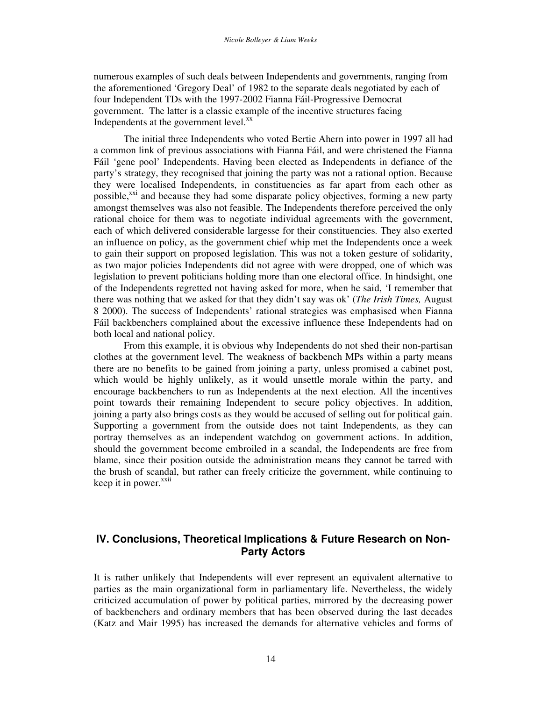numerous examples of such deals between Independents and governments, ranging from the aforementioned 'Gregory Deal' of 1982 to the separate deals negotiated by each of four Independent TDs with the 1997-2002 Fianna Fáil-Progressive Democrat government. The latter is a classic example of the incentive structures facing Independents at the government level.<sup>xx</sup>

The initial three Independents who voted Bertie Ahern into power in 1997 all had a common link of previous associations with Fianna Fáil, and were christened the Fianna Fáil 'gene pool' Independents. Having been elected as Independents in defiance of the party's strategy, they recognised that joining the party was not a rational option. Because they were localised Independents, in constituencies as far apart from each other as possible,<sup>xxi</sup> and because they had some disparate policy objectives, forming a new party amongst themselves was also not feasible. The Independents therefore perceived the only rational choice for them was to negotiate individual agreements with the government, each of which delivered considerable largesse for their constituencies. They also exerted an influence on policy, as the government chief whip met the Independents once a week to gain their support on proposed legislation. This was not a token gesture of solidarity, as two major policies Independents did not agree with were dropped, one of which was legislation to prevent politicians holding more than one electoral office. In hindsight, one of the Independents regretted not having asked for more, when he said, 'I remember that there was nothing that we asked for that they didn't say was ok' (*The Irish Times,* August 8 2000). The success of Independents' rational strategies was emphasised when Fianna Fáil backbenchers complained about the excessive influence these Independents had on both local and national policy.

From this example, it is obvious why Independents do not shed their non-partisan clothes at the government level. The weakness of backbench MPs within a party means there are no benefits to be gained from joining a party, unless promised a cabinet post, which would be highly unlikely, as it would unsettle morale within the party, and encourage backbenchers to run as Independents at the next election. All the incentives point towards their remaining Independent to secure policy objectives. In addition, joining a party also brings costs as they would be accused of selling out for political gain. Supporting a government from the outside does not taint Independents, as they can portray themselves as an independent watchdog on government actions. In addition, should the government become embroiled in a scandal, the Independents are free from blame, since their position outside the administration means they cannot be tarred with the brush of scandal, but rather can freely criticize the government, while continuing to keep it in power.<sup>xxii</sup>

# **IV. Conclusions, Theoretical Implications & Future Research on Non-Party Actors**

It is rather unlikely that Independents will ever represent an equivalent alternative to parties as the main organizational form in parliamentary life. Nevertheless, the widely criticized accumulation of power by political parties, mirrored by the decreasing power of backbenchers and ordinary members that has been observed during the last decades (Katz and Mair 1995) has increased the demands for alternative vehicles and forms of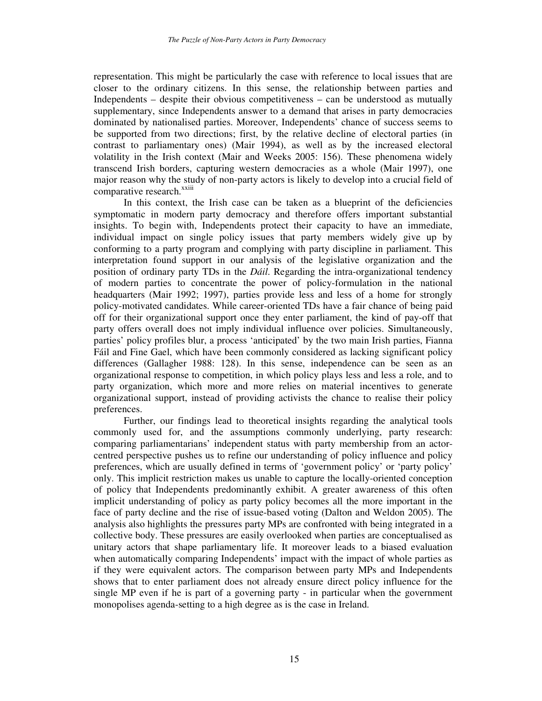representation. This might be particularly the case with reference to local issues that are closer to the ordinary citizens. In this sense, the relationship between parties and Independents – despite their obvious competitiveness – can be understood as mutually supplementary, since Independents answer to a demand that arises in party democracies dominated by nationalised parties. Moreover, Independents' chance of success seems to be supported from two directions; first, by the relative decline of electoral parties (in contrast to parliamentary ones) (Mair 1994), as well as by the increased electoral volatility in the Irish context (Mair and Weeks 2005: 156). These phenomena widely transcend Irish borders, capturing western democracies as a whole (Mair 1997), one major reason why the study of non-party actors is likely to develop into a crucial field of comparative research.<sup>xxiii</sup>

In this context, the Irish case can be taken as a blueprint of the deficiencies symptomatic in modern party democracy and therefore offers important substantial insights. To begin with, Independents protect their capacity to have an immediate, individual impact on single policy issues that party members widely give up by conforming to a party program and complying with party discipline in parliament. This interpretation found support in our analysis of the legislative organization and the position of ordinary party TDs in the *Dáil*. Regarding the intra-organizational tendency of modern parties to concentrate the power of policy-formulation in the national headquarters (Mair 1992; 1997), parties provide less and less of a home for strongly policy-motivated candidates. While career-oriented TDs have a fair chance of being paid off for their organizational support once they enter parliament, the kind of pay-off that party offers overall does not imply individual influence over policies. Simultaneously, parties' policy profiles blur, a process 'anticipated' by the two main Irish parties, Fianna Fáil and Fine Gael, which have been commonly considered as lacking significant policy differences (Gallagher 1988: 128). In this sense, independence can be seen as an organizational response to competition, in which policy plays less and less a role, and to party organization, which more and more relies on material incentives to generate organizational support, instead of providing activists the chance to realise their policy preferences.

Further, our findings lead to theoretical insights regarding the analytical tools commonly used for, and the assumptions commonly underlying, party research: comparing parliamentarians' independent status with party membership from an actorcentred perspective pushes us to refine our understanding of policy influence and policy preferences, which are usually defined in terms of 'government policy' or 'party policy' only. This implicit restriction makes us unable to capture the locally-oriented conception of policy that Independents predominantly exhibit. A greater awareness of this often implicit understanding of policy as party policy becomes all the more important in the face of party decline and the rise of issue-based voting (Dalton and Weldon 2005). The analysis also highlights the pressures party MPs are confronted with being integrated in a collective body. These pressures are easily overlooked when parties are conceptualised as unitary actors that shape parliamentary life. It moreover leads to a biased evaluation when automatically comparing Independents' impact with the impact of whole parties as if they were equivalent actors. The comparison between party MPs and Independents shows that to enter parliament does not already ensure direct policy influence for the single MP even if he is part of a governing party - in particular when the government monopolises agenda-setting to a high degree as is the case in Ireland.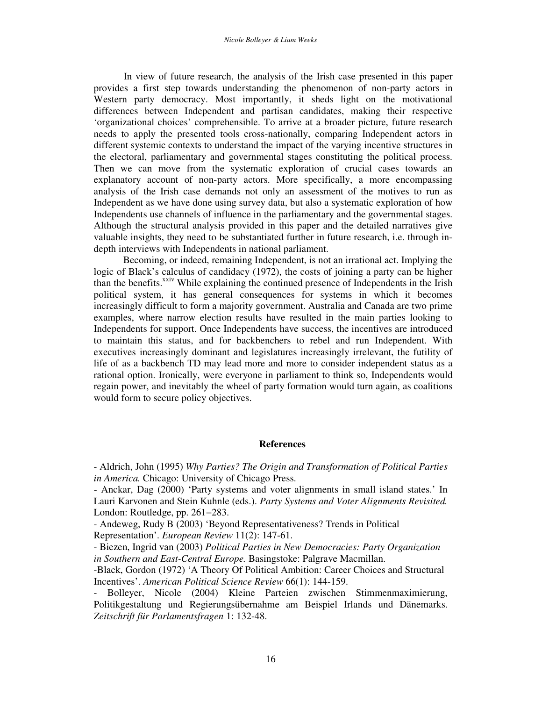In view of future research, the analysis of the Irish case presented in this paper provides a first step towards understanding the phenomenon of non-party actors in Western party democracy. Most importantly, it sheds light on the motivational differences between Independent and partisan candidates, making their respective 'organizational choices' comprehensible. To arrive at a broader picture, future research needs to apply the presented tools cross-nationally, comparing Independent actors in different systemic contexts to understand the impact of the varying incentive structures in the electoral, parliamentary and governmental stages constituting the political process. Then we can move from the systematic exploration of crucial cases towards an explanatory account of non-party actors. More specifically, a more encompassing analysis of the Irish case demands not only an assessment of the motives to run as Independent as we have done using survey data, but also a systematic exploration of how Independents use channels of influence in the parliamentary and the governmental stages. Although the structural analysis provided in this paper and the detailed narratives give valuable insights, they need to be substantiated further in future research, i.e. through indepth interviews with Independents in national parliament.

Becoming, or indeed, remaining Independent, is not an irrational act. Implying the logic of Black's calculus of candidacy (1972), the costs of joining a party can be higher than the benefits.<sup>xxiv</sup> While explaining the continued presence of Independents in the Irish political system, it has general consequences for systems in which it becomes increasingly difficult to form a majority government. Australia and Canada are two prime examples, where narrow election results have resulted in the main parties looking to Independents for support. Once Independents have success, the incentives are introduced to maintain this status, and for backbenchers to rebel and run Independent. With executives increasingly dominant and legislatures increasingly irrelevant, the futility of life of as a backbench TD may lead more and more to consider independent status as a rational option. Ironically, were everyone in parliament to think so, Independents would regain power, and inevitably the wheel of party formation would turn again, as coalitions would form to secure policy objectives.

#### **References**

- Aldrich, John (1995) *Why Parties? The Origin and Transformation of Political Parties in America.* Chicago: University of Chicago Press.

- Anckar, Dag (2000) 'Party systems and voter alignments in small island states.' In Lauri Karvonen and Stein Kuhnle (eds.). *Party Systems and Voter Alignments Revisited.* London: Routledge, pp. 261−283.

- Andeweg, Rudy B (2003) 'Beyond Representativeness? Trends in Political

Representation'. *European Review* 11(2): 147-61.

- Biezen, Ingrid van (2003) *Political Parties in New Democracies: Party Organization in Southern and East-Central Europe.* Basingstoke: Palgrave Macmillan.
- -Black, Gordon (1972) 'A Theory Of Political Ambition: Career Choices and Structural Incentives'. *American Political Science Review* 66(1): 144-159.
- Bolleyer, Nicole (2004) Kleine Parteien zwischen Stimmenmaximierung, Politikgestaltung und Regierungsübernahme am Beispiel Irlands und Dänemarks. *Zeitschrift für Parlamentsfragen* 1: 132-48.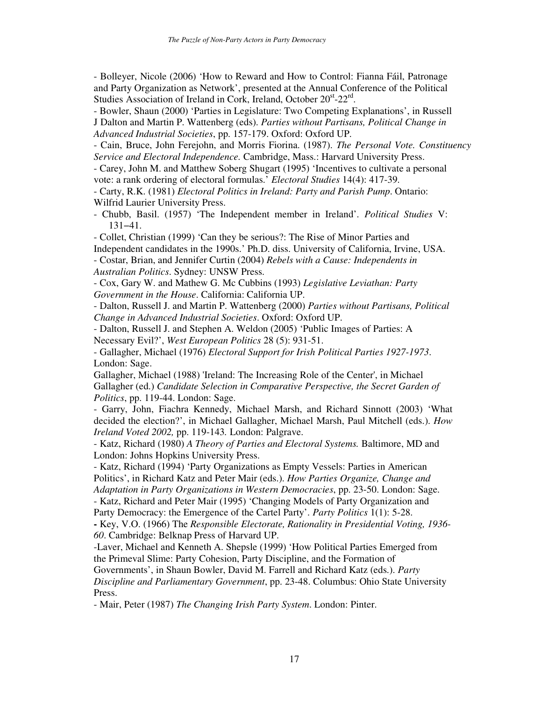- Bolleyer, Nicole (2006) 'How to Reward and How to Control: Fianna Fáil, Patronage and Party Organization as Network', presented at the Annual Conference of the Political Studies Association of Ireland in Cork, Ireland, October 20<sup>st</sup>-22<sup>rd</sup>.

- Bowler, Shaun (2000) 'Parties in Legislature: Two Competing Explanations', in Russell J Dalton and Martin P. Wattenberg (eds). *Parties without Partisans, Political Change in Advanced Industrial Societies*, pp. 157-179. Oxford: Oxford UP.

- Cain, Bruce, John Ferejohn, and Morris Fiorina. (1987). *The Personal Vote. Constituency Service and Electoral Independence.* Cambridge, Mass.: Harvard University Press.

- Carey, John M. and Matthew Soberg Shugart (1995) 'Incentives to cultivate a personal vote: a rank ordering of electoral formulas.' *Electoral Studies* 14(4): 417-39.

- Carty, R.K. (1981) *Electoral Politics in Ireland: Party and Parish Pump*. Ontario: Wilfrid Laurier University Press.

- Chubb, Basil. (1957) 'The Independent member in Ireland'. *Political Studies* V: 131−41.

- Collet, Christian (1999) 'Can they be serious?: The Rise of Minor Parties and Independent candidates in the 1990s.' Ph.D. diss. University of California, Irvine, USA.

- Costar, Brian, and Jennifer Curtin (2004) *Rebels with a Cause: Independents in Australian Politics*. Sydney: UNSW Press.

- Cox, Gary W. and Mathew G. Mc Cubbins (1993) *Legislative Leviathan: Party Government in the House*. California: California UP.

- Dalton, Russell J. and Martin P. Wattenberg (2000) *Parties without Partisans, Political Change in Advanced Industrial Societies*. Oxford: Oxford UP.

- Dalton, Russell J. and Stephen A. Weldon (2005) 'Public Images of Parties: A Necessary Evil?', *West European Politics* 28 (5): 931-51.

- Gallagher, Michael (1976) *Electoral Support for Irish Political Parties 1927-1973*. London: Sage.

Gallagher, Michael (1988) 'Ireland: The Increasing Role of the Center', in Michael Gallagher (ed.) *Candidate Selection in Comparative Perspective, the Secret Garden of Politics*, pp. 119-44. London: Sage.

- Garry, John, Fiachra Kennedy, Michael Marsh, and Richard Sinnott (2003) 'What decided the election?', in Michael Gallagher, Michael Marsh, Paul Mitchell (eds.). *How Ireland Voted 2002,* pp. 119-143*.* London: Palgrave.

- Katz, Richard (1980) *A Theory of Parties and Electoral Systems.* Baltimore, MD and London: Johns Hopkins University Press.

- Katz, Richard (1994) 'Party Organizations as Empty Vessels: Parties in American Politics', in Richard Katz and Peter Mair (eds.). *How Parties Organize, Change and Adaptation in Party Organizations in Western Democracies*, pp. 23-50. London: Sage.

- Katz, Richard and Peter Mair (1995) 'Changing Models of Party Organization and Party Democracy: the Emergence of the Cartel Party'. *Party Politics* 1(1): 5-28.

**-** Key, V.O. (1966) The *Responsible Electorate, Rationality in Presidential Voting, 1936- 60*. Cambridge: Belknap Press of Harvard UP.

-Laver, Michael and Kenneth A. Shepsle (1999) 'How Political Parties Emerged from the Primeval Slime: Party Cohesion, Party Discipline, and the Formation of

Governments', in Shaun Bowler, David M. Farrell and Richard Katz (eds.). *Party Discipline and Parliamentary Government*, pp. 23-48. Columbus: Ohio State University Press.

- Mair, Peter (1987) *The Changing Irish Party System*. London: Pinter.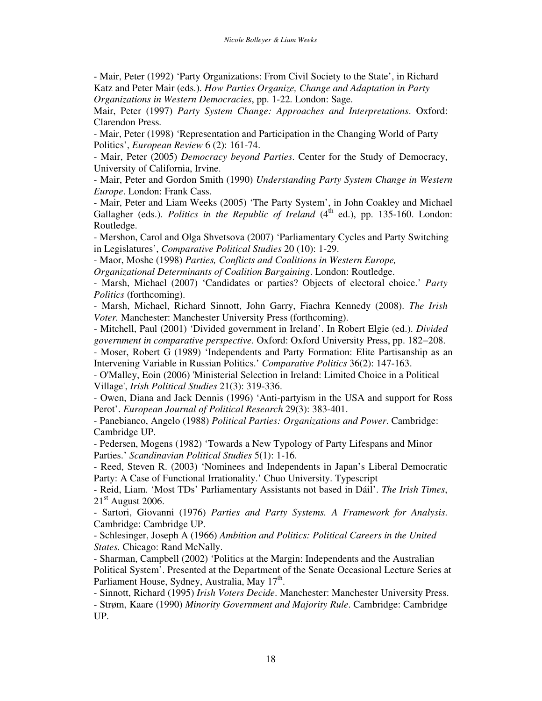- Mair, Peter (1992) 'Party Organizations: From Civil Society to the State', in Richard Katz and Peter Mair (eds.). *How Parties Organize, Change and Adaptation in Party Organizations in Western Democracies*, pp. 1-22. London: Sage.

Mair, Peter (1997) *Party System Change: Approaches and Interpretations*. Oxford: Clarendon Press.

- Mair, Peter (1998) 'Representation and Participation in the Changing World of Party Politics', *European Review* 6 (2): 161-74.

- Mair, Peter (2005) *Democracy beyond Parties*. Center for the Study of Democracy, University of California, Irvine.

- Mair, Peter and Gordon Smith (1990) *Understanding Party System Change in Western Europe*. London: Frank Cass.

- Mair, Peter and Liam Weeks (2005) 'The Party System', in John Coakley and Michael Gallagher (eds.). *Politics in the Republic of Ireland* (4 th ed.), pp. 135-160. London: Routledge.

- Mershon, Carol and Olga Shvetsova (2007) 'Parliamentary Cycles and Party Switching in Legislatures', *Comparative Political Studies* 20 (10): 1-29.

- Maor, Moshe (1998) *Parties, Conflicts and Coalitions in Western Europe,*

*Organizational Determinants of Coalition Bargaining*. London: Routledge.

- Marsh, Michael (2007) 'Candidates or parties? Objects of electoral choice.' *Party Politics* (forthcoming).

- Marsh, Michael, Richard Sinnott, John Garry, Fiachra Kennedy (2008). *The Irish Voter.* Manchester: Manchester University Press (forthcoming).

- Mitchell, Paul (2001) 'Divided government in Ireland'. In Robert Elgie (ed.). *Divided government in comparative perspective.* Oxford: Oxford University Press, pp. 182−208.

- Moser, Robert G (1989) 'Independents and Party Formation: Elite Partisanship as an Intervening Variable in Russian Politics.' *Comparative Politics* 36(2): 147-163.

- O'Malley, Eoin (2006) 'Ministerial Selection in Ireland: Limited Choice in a Political Village', *Irish Political Studies* 21(3): 319-336.

- Owen, Diana and Jack Dennis (1996) 'Anti-partyism in the USA and support for Ross Perot'. *European Journal of Political Research* 29(3): 383-401.

- Panebianco, Angelo (1988) *Political Parties: Organizations and Power*. Cambridge: Cambridge UP.

- Pedersen, Mogens (1982) 'Towards a New Typology of Party Lifespans and Minor Parties.' *Scandinavian Political Studies* 5(1): 1-16.

- Reed, Steven R. (2003) 'Nominees and Independents in Japan's Liberal Democratic Party: A Case of Functional Irrationality.' Chuo University. Typescript

- Reid, Liam. 'Most TDs' Parliamentary Assistants not based in Dáil'. *The Irish Times*,  $21<sup>st</sup>$  August 2006.

- Sartori, Giovanni (1976) *Parties and Party Systems. A Framework for Analysis*. Cambridge: Cambridge UP.

- Schlesinger, Joseph A (1966) *Ambition and Politics: Political Careers in the United States.* Chicago: Rand McNally.

- Sharman, Campbell (2002) 'Politics at the Margin: Independents and the Australian Political System'. Presented at the Department of the Senate Occasional Lecture Series at Parliament House, Sydney, Australia, May 17<sup>th</sup>.

- Sinnott, Richard (1995) *Irish Voters Decide*. Manchester: Manchester University Press.

- Strøm, Kaare (1990) *Minority Government and Majority Rule*. Cambridge: Cambridge UP.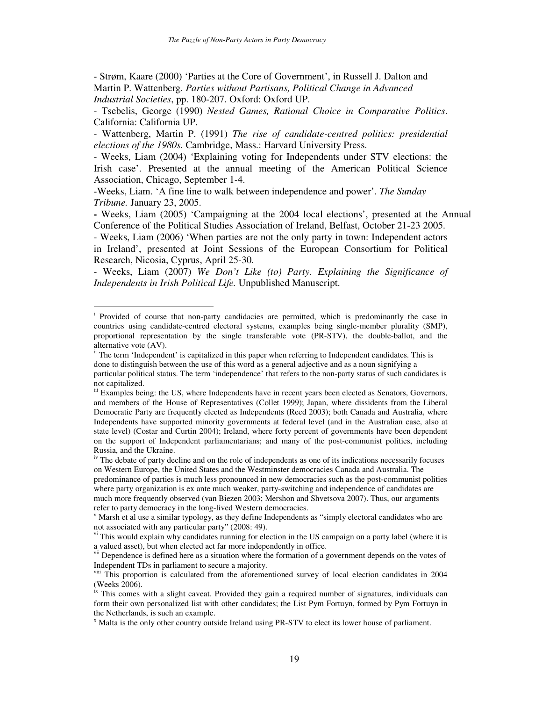- Strøm, Kaare (2000) 'Parties at the Core of Government', in Russell J. Dalton and Martin P. Wattenberg. *Parties without Partisans, Political Change in Advanced Industrial Societies*, pp. 180-207. Oxford: Oxford UP.

- Tsebelis, George (1990) *Nested Games, Rational Choice in Comparative Politics*. California: California UP.

- Wattenberg, Martin P. (1991) *The rise of candidate-centred politics: presidential elections of the 1980s.* Cambridge, Mass.: Harvard University Press.

- Weeks, Liam (2004) 'Explaining voting for Independents under STV elections: the Irish case'. Presented at the annual meeting of the American Political Science Association, Chicago, September 1-4.

-Weeks, Liam. 'A fine line to walk between independence and power'. *The Sunday Tribune.* January 23, 2005.

**-** Weeks, Liam (2005) 'Campaigning at the 2004 local elections', presented at the Annual Conference of the Political Studies Association of Ireland, Belfast, October 21-23 2005.

- Weeks, Liam (2006) 'When parties are not the only party in town: Independent actors in Ireland', presented at Joint Sessions of the European Consortium for Political Research, Nicosia, Cyprus, April 25-30.

- Weeks, Liam (2007) *We Don't Like (to) Party. Explaining the Significance of Independents in Irish Political Life.* Unpublished Manuscript.

<sup>&</sup>lt;sup>i</sup> Provided of course that non-party candidacies are permitted, which is predominantly the case in countries using candidate-centred electoral systems, examples being single-member plurality (SMP), proportional representation by the single transferable vote (PR-STV), the double-ballot, and the alternative vote (AV).

<sup>&</sup>lt;sup>ii</sup> The term 'Independent' is capitalized in this paper when referring to Independent candidates. This is done to distinguish between the use of this word as a general adjective and as a noun signifying a particular political status. The term 'independence' that refers to the non-party status of such candidates is not capitalized.

iii Examples being: the US, where Independents have in recent years been elected as Senators, Governors, and members of the House of Representatives (Collet 1999); Japan, where dissidents from the Liberal Democratic Party are frequently elected as Independents (Reed 2003); both Canada and Australia, where Independents have supported minority governments at federal level (and in the Australian case, also at state level) (Costar and Curtin 2004); Ireland, where forty percent of governments have been dependent on the support of Independent parliamentarians; and many of the post-communist polities, including Russia, and the Ukraine.

<sup>&</sup>lt;sup>iv</sup> The debate of party decline and on the role of independents as one of its indications necessarily focuses on Western Europe, the United States and the Westminster democracies Canada and Australia. The predominance of parties is much less pronounced in new democracies such as the post-communist polities where party organization is ex ante much weaker, party-switching and independence of candidates are much more frequently observed (van Biezen 2003; Mershon and Shvetsova 2007). Thus, our arguments refer to party democracy in the long-lived Western democracies.

 $\gamma$  Marsh et al use a similar typology, as they define Independents as "simply electoral candidates who are not associated with any particular party" (2008: 49).

<sup>&</sup>lt;sup>vi</sup> This would explain why candidates running for election in the US campaign on a party label (where it is a valued asset), but when elected act far more independently in office.

vii Dependence is defined here as a situation where the formation of a government depends on the votes of Independent TDs in parliament to secure a majority.

viii This proportion is calculated from the aforementioned survey of local election candidates in 2004 (Weeks 2006).

 $\hat{f}$ <sup>ix</sup> This comes with a slight caveat. Provided they gain a required number of signatures, individuals can form their own personalized list with other candidates; the List Pym Fortuyn, formed by Pym Fortuyn in the Netherlands, is such an example.

<sup>x</sup> Malta is the only other country outside Ireland using PR-STV to elect its lower house of parliament.